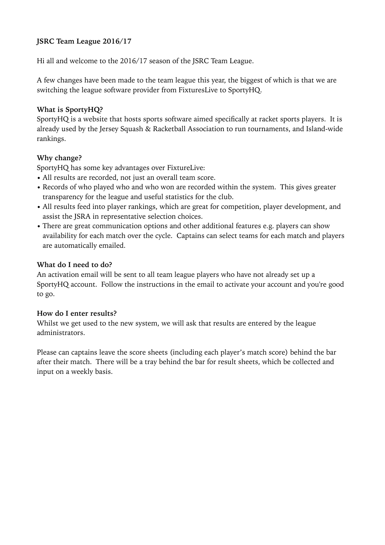## **JSRC Team League 2016/17**

Hi all and welcome to the 2016/17 season of the JSRC Team League.

A few changes have been made to the team league this year, the biggest of which is that we are switching the league software provider from FixturesLive to SportyHQ.

### **What is SportyHQ?**

SportyHQ is a website that hosts sports software aimed specifically at racket sports players. It is already used by the Jersey Squash & Racketball Association to run tournaments, and Island-wide rankings.

### **Why change?**

SportyHQ has some key advantages over FixtureLive:

- All results are recorded, not just an overall team score.
- Records of who played who and who won are recorded within the system. This gives greater transparency for the league and useful statistics for the club.
- All results feed into player rankings, which are great for competition, player development, and assist the JSRA in representative selection choices.
- There are great communication options and other additional features e.g. players can show availability for each match over the cycle. Captains can select teams for each match and players are automatically emailed.

#### **What do I need to do?**

An activation email will be sent to all team league players who have not already set up a SportyHQ account. Follow the instructions in the email to activate your account and you're good to go.

#### **How do I enter results?**

Whilst we get used to the new system, we will ask that results are entered by the league administrators.

Please can captains leave the score sheets (including each player's match score) behind the bar after their match. There will be a tray behind the bar for result sheets, which be collected and input on a weekly basis.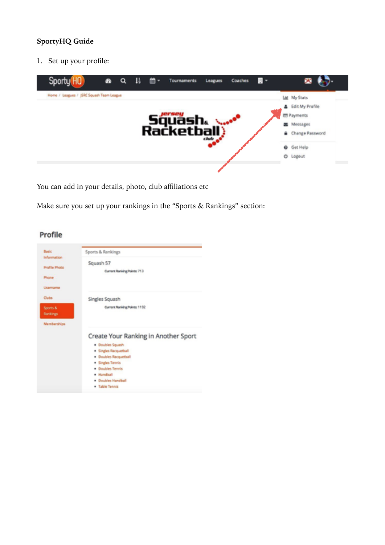# **SportyHQ Guide**

1. Set up your profile:



You can add in your details, photo, club affiliations etc

Make sure you set up your rankings in the "Sports & Rankings" section:

| Basic                | Sports & Rankings                    |
|----------------------|--------------------------------------|
| Information          |                                      |
| <b>Profile Photo</b> | Squash 57                            |
|                      | Current Ranking Points: 713          |
| Phone                |                                      |
|                      |                                      |
| Usamama              |                                      |
| Clubs                | Singles Squash                       |
| Sports &             | Current Ranking Points: 1192         |
| Rankings             |                                      |
|                      |                                      |
| Memberships          |                                      |
|                      | Create Your Ranking in Another Sport |
|                      | · Doubles Squash                     |
|                      | · Singles Racquetball                |
|                      | · Doubles Racquetball                |
|                      | · Singles Tennis                     |
|                      | · Doubles Tennis                     |
|                      | · Handball                           |
|                      | <b>Doubles Handball</b>              |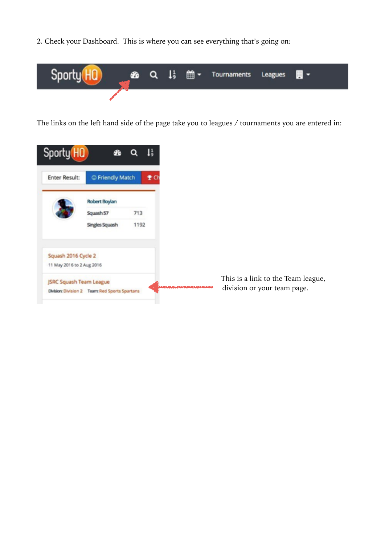2. Check your Dashboard. This is where you can see everything that's going on:



The links on the left hand side of the page take you to leagues / tournaments you are entered in:



This is a link to the Team league, division or your team page.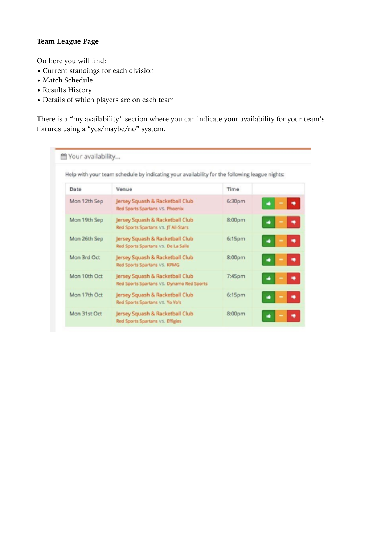# **Team League Page**

On here you will find:

- Current standings for each division
- Match Schedule
- Results History
- Details of which players are on each team

There is a "my availability" section where you can indicate your availability for your team's fixtures using a "yes/maybe/no" system.

|              | Help with your team schedule by indicating your availability for the following league nights: |        |   |
|--------------|-----------------------------------------------------------------------------------------------|--------|---|
| Date         | Venue                                                                                         | Time   |   |
| Mon 12th Sep | Jersey Squash & Racketball Club<br>Red Sports Spartans VS, Phoenix                            | 6:30pm |   |
| Mon 19th Sep | Jersey Squash & Racketball Club<br>Red Sports Spartans VS. JT All-Stars                       | 8:00pm |   |
| Mon 26th Sep | Jersey Squash & Racketball Club<br>Red Sports Spartans VS. De La Salle                        | 6:15pm |   |
| Mon 3rd Oct  | Jersey Squash & Racketball Club<br>Red Sports Spartans VS. KPMG                               | 8:00pm | ۰ |
| Mon 10th Oct | Jersey Squash & Racketball Club<br>Red Sports Spartans VS. Dynamo Red Sports                  | 7:45pm |   |
| Mon 17th Oct | Jersey Squash & Racketball Club<br>Red Sports Spartans VS. Yo Yo's                            | 6:15pm |   |
| Mon 31st Oct | Jersey Squash & Racketball Club<br>Red Sports Spartans VS. Effigies                           | 8:00pm |   |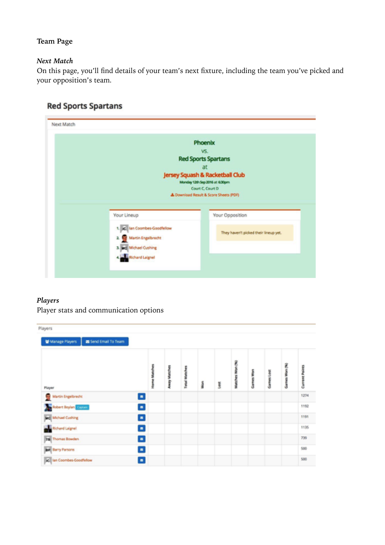# **Team Page**

### *Next Match*

On this page, you'll find details of your team's next fixture, including the team you've picked and your opposition's team.

|                                                | Phoenix                                                           |
|------------------------------------------------|-------------------------------------------------------------------|
|                                                | VS.                                                               |
|                                                | <b>Red Sports Spartans</b>                                        |
|                                                | at                                                                |
|                                                | Jersey Squash & Racketball Club<br>Monday 12th Sep 2016 at 6:30pm |
|                                                | Court C. Court D                                                  |
|                                                |                                                                   |
|                                                | & Download Result & Score Sheets (PDF)                            |
|                                                |                                                                   |
| Your Lineup                                    | <b>Your Opposition</b>                                            |
| 1. ic lan Coombes-Goodfellow                   |                                                                   |
| ı                                              | They haven't picked their lineup yet.                             |
| Martin Engelbrecht                             |                                                                   |
| 3. Md Michael Cushing<br><b>Richard Laigne</b> |                                                                   |

# **Red Sports Spartans**

#### *Players*

Player stats and communication options

| Players                                     |         |                |             |   |     |                 |           |            |              |                       |
|---------------------------------------------|---------|----------------|-------------|---|-----|-----------------|-----------|------------|--------------|-----------------------|
| Send Email To Team<br>W Manage Players      |         |                |             |   |     |                 |           |            |              |                       |
| Player                                      | Matches | <b>Matches</b> | Total Match | ş | İst | Matches Won (%) | Games Won | Games Lost | Won (%)<br>P | <b>Current Points</b> |
| $\blacksquare$<br>Martin Engelbrecht        |         |                |             |   |     |                 |           |            |              | 1274                  |
| $\blacksquare$<br>Robert Boylan Grossen     |         |                |             |   |     |                 |           |            |              | 1192                  |
| $\blacksquare$<br><b>Md</b> Michael Cushing |         |                |             |   |     |                 |           |            |              | 1191                  |
| $\blacksquare$<br><b>Nichard Laignel</b>    |         |                |             |   |     |                 |           |            |              | 1135                  |
| $\blacksquare$<br><b>TB</b> Thomas Bowden   |         |                |             |   |     |                 |           |            |              | 739                   |
| <b>BP</b> Barry Parsons<br>$\blacksquare$   |         |                |             |   |     |                 |           |            |              | 500                   |
| ic Ian Coombes-Goodfelow<br>$\blacksquare$  |         |                |             |   |     |                 |           |            |              | 500                   |